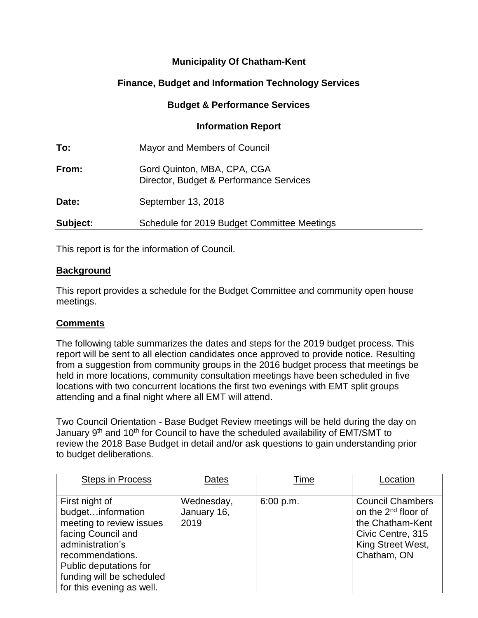# **Municipality Of Chatham-Kent**

# **Finance, Budget and Information Technology Services**

### **Budget & Performance Services**

#### **Information Report**

| To:      | Mayor and Members of Council                                           |
|----------|------------------------------------------------------------------------|
| From:    | Gord Quinton, MBA, CPA, CGA<br>Director, Budget & Performance Services |
| Date:    | September 13, 2018                                                     |
| Subject: | Schedule for 2019 Budget Committee Meetings                            |

This report is for the information of Council.

#### **Background**

This report provides a schedule for the Budget Committee and community open house meetings.

## **Comments**

The following table summarizes the dates and steps for the 2019 budget process. This report will be sent to all election candidates once approved to provide notice. Resulting from a suggestion from community groups in the 2016 budget process that meetings be held in more locations, community consultation meetings have been scheduled in five locations with two concurrent locations the first two evenings with EMT split groups attending and a final night where all EMT will attend.

Two Council Orientation - Base Budget Review meetings will be held during the day on January 9<sup>th</sup> and 10<sup>th</sup> for Council to have the scheduled availability of EMT/SMT to review the 2018 Base Budget in detail and/or ask questions to gain understanding prior to budget deliberations.

| <b>Steps in Process</b>                                                                                                                                                                                           | Dates                             | Time      | Location                                                                                                                                |
|-------------------------------------------------------------------------------------------------------------------------------------------------------------------------------------------------------------------|-----------------------------------|-----------|-----------------------------------------------------------------------------------------------------------------------------------------|
| First night of<br>budgetinformation<br>meeting to review issues<br>facing Council and<br>administration's<br>recommendations.<br>Public deputations for<br>funding will be scheduled<br>for this evening as well. | Wednesday,<br>January 16,<br>2019 | 6:00 p.m. | <b>Council Chambers</b><br>on the 2 <sup>nd</sup> floor of<br>the Chatham-Kent<br>Civic Centre, 315<br>King Street West,<br>Chatham, ON |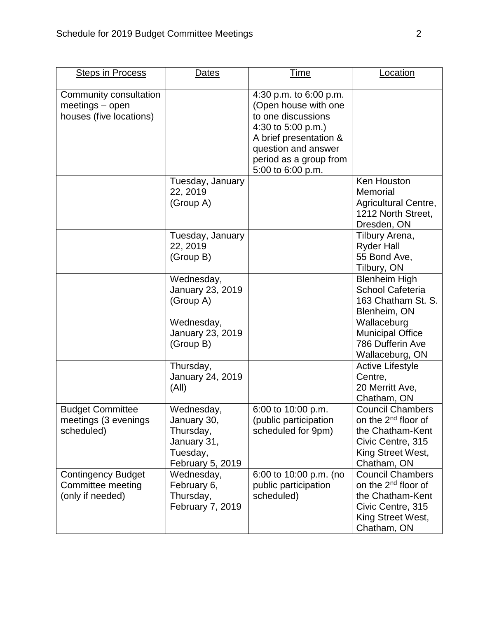| <b>Steps in Process</b>                                                | <b>Dates</b>                                                                          | <b>Time</b>                                                                                                                                                                                | <b>Location</b>                                                                                                                         |
|------------------------------------------------------------------------|---------------------------------------------------------------------------------------|--------------------------------------------------------------------------------------------------------------------------------------------------------------------------------------------|-----------------------------------------------------------------------------------------------------------------------------------------|
| Community consultation<br>$meetings$ – open<br>houses (five locations) |                                                                                       | 4:30 p.m. to 6:00 p.m.<br>(Open house with one<br>to one discussions<br>4:30 to 5:00 p.m.)<br>A brief presentation &<br>question and answer<br>period as a group from<br>5:00 to 6:00 p.m. |                                                                                                                                         |
|                                                                        | Tuesday, January<br>22, 2019<br>(Group A)                                             |                                                                                                                                                                                            | <b>Ken Houston</b><br>Memorial<br>Agricultural Centre,<br>1212 North Street,<br>Dresden, ON                                             |
|                                                                        | Tuesday, January<br>22, 2019<br>(Group B)                                             |                                                                                                                                                                                            | Tilbury Arena,<br><b>Ryder Hall</b><br>55 Bond Ave,<br>Tilbury, ON                                                                      |
|                                                                        | Wednesday,<br>January 23, 2019<br>(Group A)                                           |                                                                                                                                                                                            | <b>Blenheim High</b><br><b>School Cafeteria</b><br>163 Chatham St. S.<br>Blenheim, ON                                                   |
|                                                                        | Wednesday,<br>January 23, 2019<br>(Group B)                                           |                                                                                                                                                                                            | Wallaceburg<br><b>Municipal Office</b><br>786 Dufferin Ave<br>Wallaceburg, ON                                                           |
|                                                                        | Thursday,<br><b>January 24, 2019</b><br>(A  )                                         |                                                                                                                                                                                            | <b>Active Lifestyle</b><br>Centre,<br>20 Merritt Ave,<br>Chatham, ON                                                                    |
| <b>Budget Committee</b><br>meetings (3 evenings<br>scheduled)          | Wednesday,<br>January 30,<br>Thursday,<br>January 31,<br>Tuesday,<br>February 5, 2019 | 6:00 to 10:00 p.m.<br>(public participation<br>scheduled for 9pm)                                                                                                                          | <b>Council Chambers</b><br>on the 2 <sup>nd</sup> floor of<br>the Chatham-Kent<br>Civic Centre, 315<br>King Street West,<br>Chatham, ON |
| <b>Contingency Budget</b><br>Committee meeting<br>(only if needed)     | Wednesday,<br>February 6,<br>Thursday,<br>February 7, 2019                            | 6:00 to 10:00 p.m. (no<br>public participation<br>scheduled)                                                                                                                               | <b>Council Chambers</b><br>on the 2 <sup>nd</sup> floor of<br>the Chatham-Kent<br>Civic Centre, 315<br>King Street West,<br>Chatham, ON |